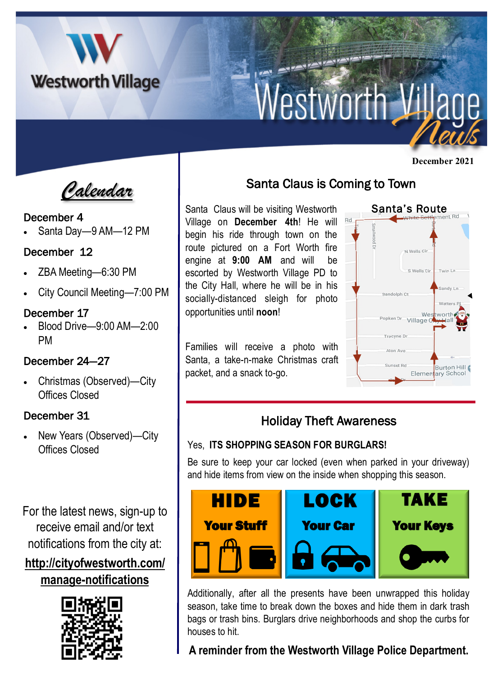

# Westworth Villa

*Calendar*

#### December 4

• Santa Day—9 AM—12 PM

### December 12

- ZBA Meeting—6:30 PM
- City Council Meeting—7:00 PM

#### December 17

• Blood Drive—9:00 AM—2:00 PM

# December 24—27

• Christmas (Observed)—City Offices Closed

# December 31

• New Years (Observed)—City Offices Closed

For the latest news, sign-up to receive email and/or text notifications from the city at:

**[http://cityofwestworth.com/](http://cityofwestworth.com/manage-notifications) [manage-notifications](http://cityofwestworth.com/manage-notifications)**



# Santa Claus is Coming to Town

Santa Claus will be visiting Westworth Village on **December 4th**! He will begin his ride through town on the route pictured on a Fort Worth fire engine at **9:00 AM** and will be escorted by Westworth Village PD to the City Hall, where he will be in his socially-distanced sleigh for photo opportunities until **noon**!

Families will receive a photo with Santa, a take-n-make Christmas craft packet, and a snack to-go.



# Holiday Theft Awareness

#### Yes, **ITS SHOPPING SEASON FOR BURGLARS!**

Be sure to keep your car locked (even when parked in your driveway) and hide items from view on the inside when shopping this season.



Additionally, after all the presents have been unwrapped this holiday season, take time to break down the boxes and hide them in dark trash bags or trash bins. Burglars drive neighborhoods and shop the curbs for houses to hit.

# **A reminder from the Westworth Village Police Department.**

 **December 2021**